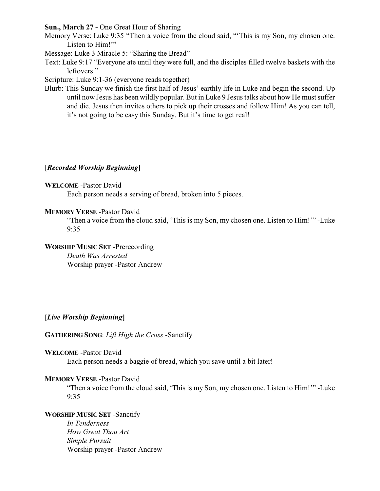**Sun., March 27 -** One Great Hour of Sharing

Memory Verse: Luke 9:35 "Then a voice from the cloud said, "'This is my Son, my chosen one. Listen to Him!"

Message: Luke 3 Miracle 5: "Sharing the Bread"

Text: Luke 9:17 "Everyone ate until they were full, and the disciples filled twelve baskets with the leftovers."

Scripture: Luke 9:1-36 (everyone reads together)

Blurb: This Sunday we finish the first half of Jesus' earthly life in Luke and begin the second. Up until now Jesus has been wildly popular. But in Luke 9 Jesus talks about how He must suffer and die. Jesus then invites others to pick up their crosses and follow Him! As you can tell, it's not going to be easy this Sunday. But it's time to get real!

## **[***Recorded Worship Beginning***]**

## **WELCOME** -Pastor David

Each person needs a serving of bread, broken into 5 pieces.

## **MEMORY VERSE** -Pastor David

"Then a voice from the cloud said, 'This is my Son, my chosen one. Listen to Him!'" -Luke 9:35

# **WORSHIP MUSIC SET** -Prerecording

*Death Was Arrested* Worship prayer -Pastor Andrew

# **[***Live Worship Beginning***]**

## **GATHERING SONG**: *Lift High the Cross* -Sanctify

#### **WELCOME** -Pastor David

Each person needs a baggie of bread, which you save until a bit later!

## **MEMORY VERSE** -Pastor David

"Then a voice from the cloud said, 'This is my Son, my chosen one. Listen to Him!'" -Luke 9:35

# **WORSHIP MUSIC SET** -Sanctify

*In Tenderness How Great Thou Art Simple Pursuit* Worship prayer -Pastor Andrew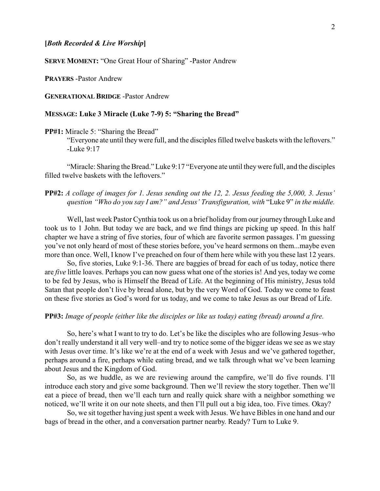**SERVE MOMENT:** "One Great Hour of Sharing" -Pastor Andrew

**PRAYERS** -Pastor Andrew

**GENERATIONAL BRIDGE** -Pastor Andrew

#### **MESSAGE: Luke 3 Miracle (Luke 7-9) 5: "Sharing the Bread"**

**PP#1:** Miracle 5: "Sharing the Bread"

"Everyone ate until theywere full, and the disciples filled twelve baskets with the leftovers." -Luke 9:17

"Miracle: Sharing the Bread." Luke 9:17 "Everyone ate until theywere full, and the disciples filled twelve baskets with the leftovers."

**PP#2:** *A collage of images for 1. Jesus sending out the 12, 2. Jesus feeding the 5,000, 3. Jesus' question "Who do you say I am?" and Jesus' Transfiguration, with* "Luke 9" *in the middle.*

Well, last week Pastor Cynthia took us on a brief holiday from our journey through Luke and took us to 1 John. But today we are back, and we find things are picking up speed. In this half chapter we have a string of five stories, four of which are favorite sermon passages. I'm guessing you've not only heard of most of these stories before, you've heard sermons on them...maybe even more than once. Well, I know I've preached on four of them here while with you these last 12 years.

So, five stories, Luke 9:1-36. There are baggies of bread for each of us today, notice there are *five* little loaves. Perhaps you can now guess what one of the stories is! And yes, today we come to be fed by Jesus, who is Himself the Bread of Life. At the beginning of His ministry, Jesus told Satan that people don't live by bread alone, but by the very Word of God. Today we come to feast on these five stories as God's word for us today, and we come to take Jesus as our Bread of Life.

**PP#3:** *Image of people (either like the disciples or like us today) eating (bread) around a fire.*

So, here's what I want to try to do. Let's be like the disciples who are following Jesus–who don't really understand it all very well–and try to notice some of the bigger ideas we see as we stay with Jesus over time. It's like we're at the end of a week with Jesus and we've gathered together, perhaps around a fire, perhaps while eating bread, and we talk through what we've been learning about Jesus and the Kingdom of God.

So, as we huddle, as we are reviewing around the campfire, we'll do five rounds. I'll introduce each story and give some background. Then we'll review the story together. Then we'll eat a piece of bread, then we'll each turn and really quick share with a neighbor something we noticed, we'll write it on our note sheets, and then I'll pull out a big idea, too. Five times. Okay?

So, we sit together having just spent a week with Jesus. We have Bibles in one hand and our bags of bread in the other, and a conversation partner nearby. Ready? Turn to Luke 9.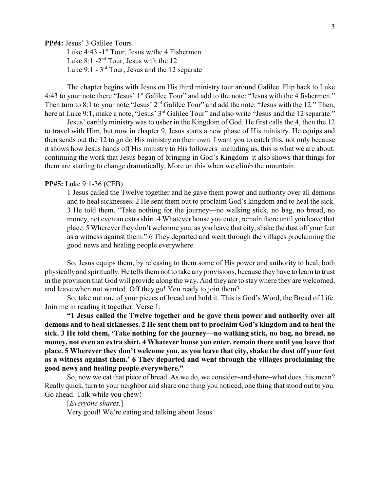**PP#4:** Jesus' 3 Galilee Tours

Luke  $4:43$  -1<sup>st</sup> Tour, Jesus w/the 4 Fishermen Luke  $8:1$  -2<sup>nd</sup> Tour, Jesus with the 12 Luke  $9:1$  -  $3<sup>rd</sup>$  Tour, Jesus and the 12 separate

The chapter begins with Jesus on His third ministry tour around Galilee. Flip back to Luke 4:43 to your note there "Jesus' 1<sup>st</sup> Galilee Tour" and add to the note: "Jesus with the 4 fishermen." Then turn to 8:1 to your note "Jesus'  $2<sup>nd</sup>$  Galilee Tour" and add the note: "Jesus with the 12." Then, here at Luke 9:1, make a note, "Jesus' 3<sup>rd</sup> Galilee Tour" and also write "Jesus and the 12 separate."

Jesus' earthly ministry was to usher in the Kingdom of God. He first calls the 4, then the 12 to travel with Him, but now in chapter 9, Jesus starts a new phase of His ministry. He equips and then sends out the 12 to go do His ministry on their own. I want you to catch this, not only because it shows how Jesus hands off His ministry to His followers–including us, this is what we are about: continuing the work that Jesus began of bringing in God's Kingdom–it also shows that things for them are starting to change dramatically. More on this when we climb the mountain.

#### **PP#5:** Luke 9:1-36 (CEB)

1 Jesus called the Twelve together and he gave them power and authority over all demons and to heal sicknesses. 2 He sent them out to proclaim God's kingdom and to heal the sick. 3 He told them, "Take nothing for the journey—no walking stick, no bag, no bread, no money, not even an extra shirt. 4 Whatever house you enter, remain there until you leave that place. 5 Wherever they don't welcome you, as you leave that city, shake the dust off your feet as a witness against them." 6 They departed and went through the villages proclaiming the good news and healing people everywhere.

So, Jesus equips them, by releasing to them some of His power and authority to heal, both physicallyand spiritually. He tells them not to take any provisions, because they have to learn to trust in the provision that God will provide along the way. And they are to stay where they are welcomed, and leave when not wanted. Off they go! You ready to join them?

So, take out one of your pieces of bread and hold it. This is God's Word, the Bread of Life. Join me in reading it together. Verse 1:

**"1 Jesus called the Twelve together and he gave them power and authority over all demons and to heal sicknesses. 2 He sent them out to proclaim God's kingdom and to heal the sick. 3 He told them, 'Take nothing for the journey—no walking stick, no bag, no bread, no money, not even an extra shirt. 4 Whatever house you enter, remain there until you leave that place. 5 Wherever they don't welcome you, as you leave that city, shake the dust off your feet as a witness against them.' 6 They departed and went through the villages proclaiming the good news and healing people everywhere."**

So, now we eat that piece of bread. As we do, we consider–and share–what does this mean? Really quick, turn to your neighbor and share one thing you noticed, one thing that stood out to you. Go ahead. Talk while you chew!

[*Everyone shares.*]

Very good! We're eating and talking about Jesus.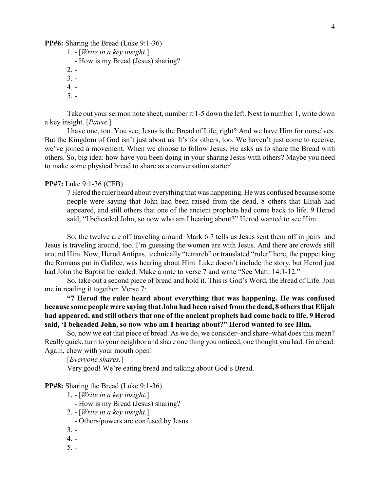**PP#6:** Sharing the Bread (Luke 9:1-36)

- 1. [*Write in a key insight.*]
	- How is my Bread (Jesus) sharing?
- $2. -$
- $3. -$
- $4. -$
- 5. -

Take out your sermon note sheet, number it 1-5 down the left. Next to number 1, write down a key insight. [*Pause.*]

I have one, too. You see, Jesus is the Bread of Life, right? And we have Him for ourselves. But the Kingdom of God isn't just about us. It's for others, too. We haven't just come to receive, we've joined a movement. When we choose to follow Jesus, He asks us to share the Bread with others. So, big idea: how have you been doing in your sharing Jesus with others? Maybe you need to make some physical bread to share as a conversation starter!

## **PP#7:** Luke 9:1-36 (CEB)

7 Herod the ruler heard about everything that was happening. He was confused because some people were saying that John had been raised from the dead, 8 others that Elijah had appeared, and still others that one of the ancient prophets had come back to life. 9 Herod said, "I beheaded John, so now who am I hearing about?" Herod wanted to see Him.

So, the twelve are off traveling around–Mark 6:7 tells us Jesus sent them off in pairs–and Jesus is traveling around, too. I'm guessing the women are with Jesus. And there are crowds still around Him. Now, Herod Antipas, technically "tetrarch" or translated "ruler" here, the puppet king the Romans put in Galilee, was hearing about Him. Luke doesn't include the story, but Herod just had John the Baptist beheaded. Make a note to verse 7 and write "See Matt. 14:1-12."

So, take out a second piece of bread and hold it. This is God's Word, the Bread of Life. Join me in reading it together. Verse 7:

**"7 Herod the ruler heard about everything that was happening. He was confused because some people were saying that John had been raised from the dead, 8 others that Elijah had appeared, and still others that one of the ancient prophets had come back to life. 9 Herod said, 'I beheaded John, so now who am I hearing about?" Herod wanted to see Him.**

So, now we eat that piece of bread. As we do, we consider–and share–what does this mean? Really quick, turn to your neighbor and share one thing you noticed, one thought you had. Go ahead. Again, chew with your mouth open!

[*Everyone shares.*]

Very good! We're eating bread and talking about God's Bread.

**PP#8:** Sharing the Bread (Luke 9:1-36)

- 1. [*Write in a key insight.*]
	- How is my Bread (Jesus) sharing?
- 2. [*Write in a key insight.*]

- Others/powers are confused by Jesus

- $3. -$
- $4. -$
- $5. -$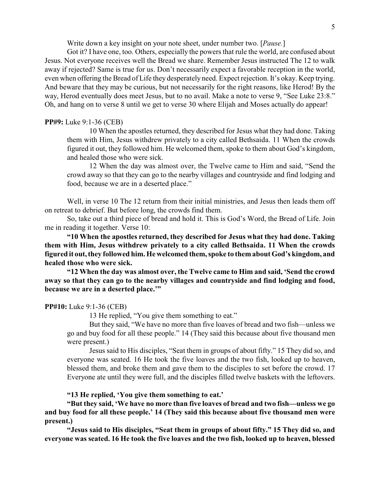Write down a key insight on your note sheet, under number two. [*Pause.*]

Got it? I have one, too. Others, especially the powers that rule the world, are confused about Jesus. Not everyone receives well the Bread we share. Remember Jesus instructed The 12 to walk away if rejected? Same is true for us. Don't necessarily expect a favorable reception in the world, even when offering the Bread of Life they desperately need. Expect rejection. It's okay. Keep trying. And beware that they may be curious, but not necessarily for the right reasons, like Herod! By the way, Herod eventually does meet Jesus, but to no avail. Make a note to verse 9, "See Luke 23:8." Oh, and hang on to verse 8 until we get to verse 30 where Elijah and Moses actually do appear!

#### **PP#9:** Luke 9:1-36 (CEB)

10 When the apostles returned, they described for Jesus what they had done. Taking them with Him, Jesus withdrew privately to a city called Bethsaida. 11 When the crowds figured it out, they followed him. He welcomed them, spoke to them about God's kingdom, and healed those who were sick.

12 When the day was almost over, the Twelve came to Him and said, "Send the crowd away so that they can go to the nearby villages and countryside and find lodging and food, because we are in a deserted place."

Well, in verse 10 The 12 return from their initial ministries, and Jesus then leads them off on retreat to debrief. But before long, the crowds find them.

So, take out a third piece of bread and hold it. This is God's Word, the Bread of Life. Join me in reading it together. Verse 10:

**"10 When the apostles returned, they described for Jesus what they had done. Taking them with Him, Jesus withdrew privately to a city called Bethsaida. 11 When the crowds figured it out, they followed him. He welcomed them, spoke to them about God's kingdom, and healed those who were sick.**

**"12 When the day was almost over, the Twelve came to Him and said, 'Send the crowd away so that they can go to the nearby villages and countryside and find lodging and food, because we are in a deserted place.'"**

#### **PP#10:** Luke 9:1-36 (CEB)

13 He replied, "You give them something to eat."

But they said, "We have no more than five loaves of bread and two fish—unless we go and buy food for all these people." 14 (They said this because about five thousand men were present.)

Jesus said to His disciples, "Seat them in groups of about fifty." 15 They did so, and everyone was seated. 16 He took the five loaves and the two fish, looked up to heaven, blessed them, and broke them and gave them to the disciples to set before the crowd. 17 Everyone ate until they were full, and the disciples filled twelve baskets with the leftovers.

#### **"13 He replied, 'You give them something to eat.'**

**"But they said, 'We have no more than five loaves of bread and two fish—unless we go and buy food for all these people.' 14 (They said this because about five thousand men were present.)**

**"Jesus said to His disciples, "Seat them in groups of about fifty." 15 They did so, and everyone was seated. 16 He took the five loaves and the two fish, looked up to heaven, blessed**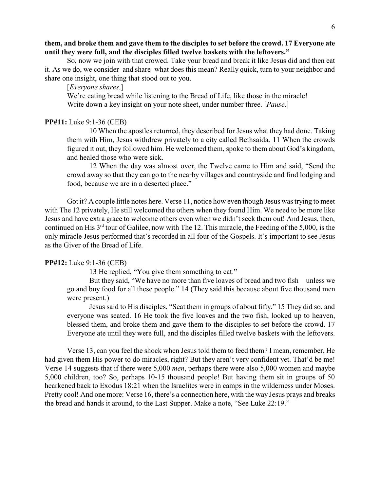## **them, and broke them and gave them to the disciples to set before the crowd. 17 Everyone ate until they were full, and the disciples filled twelve baskets with the leftovers."**

So, now we join with that crowed. Take your bread and break it like Jesus did and then eat it. As we do, we consider–and share–what does this mean? Really quick, turn to your neighbor and share one insight, one thing that stood out to you.

## [*Everyone shares.*]

We're eating bread while listening to the Bread of Life, like those in the miracle! Write down a key insight on your note sheet, under number three. [*Pause*.]

#### **PP#11:** Luke 9:1-36 (CEB)

10 When the apostles returned, they described for Jesus what they had done. Taking them with Him, Jesus withdrew privately to a city called Bethsaida. 11 When the crowds figured it out, they followed him. He welcomed them, spoke to them about God's kingdom, and healed those who were sick.

12 When the day was almost over, the Twelve came to Him and said, "Send the crowd away so that they can go to the nearby villages and countryside and find lodging and food, because we are in a deserted place."

Got it? A couple little notes here. Verse 11, notice how even though Jesus was trying to meet with The 12 privately, He still welcomed the others when they found Him. We need to be more like Jesus and have extra grace to welcome others even when we didn't seek them out! And Jesus, then, continued on His 3<sup>rd</sup> tour of Galilee, now with The 12. This miracle, the Feeding of the 5,000, is the only miracle Jesus performed that's recorded in all four of the Gospels. It's important to see Jesus as the Giver of the Bread of Life.

#### **PP#12:** Luke 9:1-36 (CEB)

13 He replied, "You give them something to eat."

But they said, "We have no more than five loaves of bread and two fish—unless we go and buy food for all these people." 14 (They said this because about five thousand men were present.)

Jesus said to His disciples, "Seat them in groups of about fifty." 15 They did so, and everyone was seated. 16 He took the five loaves and the two fish, looked up to heaven, blessed them, and broke them and gave them to the disciples to set before the crowd. 17 Everyone ate until they were full, and the disciples filled twelve baskets with the leftovers.

Verse 13, can you feel the shock when Jesus told them to feed them? I mean, remember, He had given them His power to do miracles, right? But they aren't very confident yet. That'd be me! Verse 14 suggests that if there were 5,000 *men*, perhaps there were also 5,000 women and maybe 5,000 children, too? So, perhaps 10-15 thousand people! But having them sit in groups of 50 hearkened back to Exodus 18:21 when the Israelites were in camps in the wilderness under Moses. Pretty cool! And one more: Verse 16, there's a connection here, with the way Jesus prays and breaks the bread and hands it around, to the Last Supper. Make a note, "See Luke 22:19."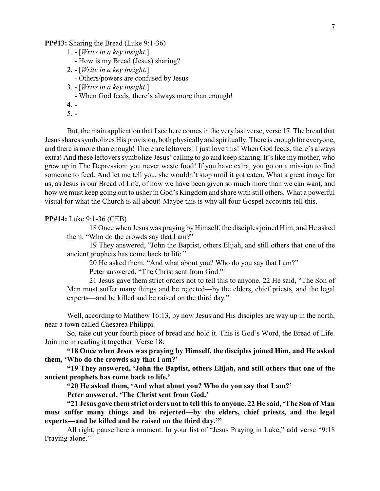**PP#13:** Sharing the Bread (Luke 9:1-36)

- 1. [*Write in a key insight.*]
	- How is my Bread (Jesus) sharing?
- 2. [*Write in a key insight.*]
	- Others/powers are confused by Jesus
- 3. [*Write in a key insight.*]
	- When God feeds, there's always more than enough!
- $4. -$

 $5. -$ 

But, the main application that Isee here comes in the very last verse, verse 17. The bread that Jesus shares symbolizes His provision, both physicallyand spiritually. There is enough for everyone, and there is more than enough! There are leftovers! I just love this! When God feeds, there's always extra! And these leftovers symbolize Jesus' calling to go and keep sharing. It's like my mother, who grew up in The Depression: you never waste food! If you have extra, you go on a mission to find someone to feed. And let me tell you, she wouldn't stop until it got eaten. What a great image for us, as Jesus is our Bread of Life, of how we have been given so much more than we can want, and how we must keep going out to usher in God's Kingdom and share with still others. What a powerful visual for what the Church is all about! Maybe this is why all four Gospel accounts tell this.

#### **PP#14:** Luke 9:1-36 (CEB)

18 Once when Jesus was praying by Himself, the disciples joined Him, and He asked them, "Who do the crowds say that I am?"

19 They answered, "John the Baptist, others Elijah, and still others that one of the ancient prophets has come back to life."

20 He asked them, "And what about you? Who do you say that I am?" Peter answered, "The Christ sent from God."

21 Jesus gave them strict orders not to tell this to anyone. 22 He said, "The Son of Man must suffer many things and be rejected—by the elders, chief priests, and the legal experts—and be killed and be raised on the third day."

Well, according to Matthew 16:13, by now Jesus and His disciples are way up in the north, near a town called Caesarea Philippi.

So, take out your fourth piece of bread and hold it. This is God's Word, the Bread of Life. Join me in reading it together. Verse 18:

**"18 Once when Jesus was praying by Himself, the disciples joined Him, and He asked them, 'Who do the crowds say that I am?'**

**"19 They answered, 'John the Baptist, others Elijah, and still others that one of the ancient prophets has come back to life.'**

**"20 He asked them, 'And what about you? Who do you say that I am?' Peter answered, 'The Christ sent from God.'**

**"21 Jesus gave them strict orders not to tell this to anyone. 22 He said, 'The Son of Man must suffer many things and be rejected—by the elders, chief priests, and the legal experts—and be killed and be raised on the third day.'"**

All right, pause here a moment. In your list of "Jesus Praying in Luke," add verse "9:18 Praying alone."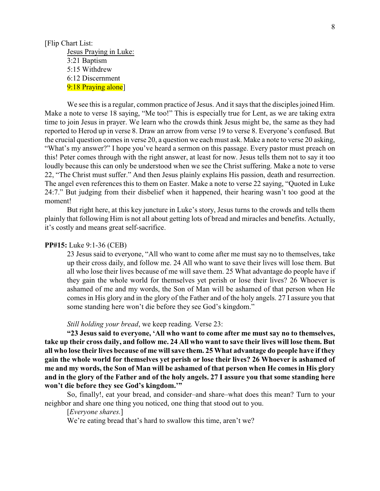## [Flip Chart List: Jesus Praying in Luke: 3:21 Baptism 5:15 Withdrew 6:12 Discernment 9:18 Praying alone

We see this is a regular, common practice of Jesus. And it says that the disciples joined Him. Make a note to verse 18 saying, "Me too!" This is especially true for Lent, as we are taking extra time to join Jesus in prayer. We learn who the crowds think Jesus might be, the same as they had reported to Herod up in verse 8. Draw an arrow from verse 19 to verse 8. Everyone's confused. But the crucial question comes in verse 20, a question we each must ask. Make a note to verse 20 asking, "What's my answer?" I hope you've heard a sermon on this passage. Every pastor must preach on this! Peter comes through with the right answer, at least for now. Jesus tells them not to say it too loudly because this can only be understood when we see the Christ suffering. Make a note to verse 22, "The Christ must suffer." And then Jesus plainly explains His passion, death and resurrection. The angel even references this to them on Easter. Make a note to verse 22 saying, "Quoted in Luke 24:7." But judging from their disbelief when it happened, their hearing wasn't too good at the moment!

But right here, at this key juncture in Luke's story, Jesus turns to the crowds and tells them plainly that following Him is not all about getting lots of bread and miracles and benefits. Actually, it's costly and means great self-sacrifice.

#### **PP#15:** Luke 9:1-36 (CEB)

23 Jesus said to everyone, "All who want to come after me must say no to themselves, take up their cross daily, and follow me. 24 All who want to save their lives will lose them. But all who lose their lives because of me will save them. 25 What advantage do people have if they gain the whole world for themselves yet perish or lose their lives? 26 Whoever is ashamed of me and my words, the Son of Man will be ashamed of that person when He comes in His glory and in the glory of the Father and of the holy angels. 27 I assure you that some standing here won't die before they see God's kingdom."

#### *Still holding your bread*, we keep reading. Verse 23:

**"23 Jesus said to everyone, 'All who want to come after me must say no to themselves, take up their cross daily, and follow me. 24 All who want to save their lives will lose them. But all who lose their lives because of me will save them. 25 What advantage do people have if they gain the whole world for themselves yet perish or lose their lives? 26 Whoever is ashamed of me and my words, the Son of Man will be ashamed of that person when He comes in His glory and in the glory of the Father and of the holy angels. 27 I assure you that some standing here won't die before they see God's kingdom.'"**

So, finally!, eat your bread, and consider–and share–what does this mean? Turn to your neighbor and share one thing you noticed, one thing that stood out to you.

## [*Everyone shares.*]

We're eating bread that's hard to swallow this time, aren't we?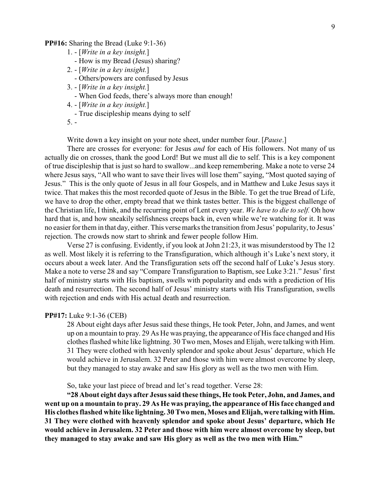#### **PP#16:** Sharing the Bread (Luke 9:1-36)

- 1. [*Write in a key insight.*]
	- How is my Bread (Jesus) sharing?
- 2. [*Write in a key insight.*]
	- Others/powers are confused by Jesus
- 3. [*Write in a key insight.*]
	- When God feeds, there's always more than enough!
- 4. [*Write in a key insight.*]
- True discipleship means dying to self
- 5. -

Write down a key insight on your note sheet, under number four. [*Pause*.]

There are crosses for everyone: for Jesus *and* for each of His followers. Not many of us actually die on crosses, thank the good Lord! But we must all die to self. This is a key component of true discipleship that is just so hard to swallow...and keep remembering. Make a note to verse 24 where Jesus says, "All who want to save their lives will lose them" saying, "Most quoted saying of Jesus." This is the only quote of Jesus in all four Gospels, and in Matthew and Luke Jesus says it twice. That makes this the most recorded quote of Jesus in the Bible. To get the true Bread of Life, we have to drop the other, empty bread that we think tastes better. This is the biggest challenge of the Christian life, I think, and the recurring point of Lent every year. *We have to die to self.* Oh how hard that is, and how sneakily selfishness creeps back in, even while we're watching for it. It was no easier for them in that day, either. This verse marks the transition from Jesus' popularity, to Jesus' rejection. The crowds now start to shrink and fewer people follow Him.

Verse 27 is confusing. Evidently, if you look at John 21:23, it was misunderstood by The 12 as well. Most likely it is referring to the Transfiguration, which although it's Luke's next story, it occurs about a week later. And the Transfiguration sets off the second half of Luke's Jesus story. Make a note to verse 28 and say "Compare Transfiguration to Baptism, see Luke 3:21." Jesus' first half of ministry starts with His baptism, swells with popularity and ends with a prediction of His death and resurrection. The second half of Jesus' ministry starts with His Transfiguration, swells with rejection and ends with His actual death and resurrection.

#### **PP#17:** Luke 9:1-36 (CEB)

28 About eight days after Jesus said these things, He took Peter, John, and James, and went up on a mountain to pray. 29 As He was praying, the appearance of His face changed and His clothes flashed white like lightning. 30 Two men, Moses and Elijah, were talking with Him. 31 They were clothed with heavenly splendor and spoke about Jesus' departure, which He would achieve in Jerusalem. 32 Peter and those with him were almost overcome by sleep, but they managed to stay awake and saw His glory as well as the two men with Him.

So, take your last piece of bread and let's read together. Verse 28:

**"28 About eight days after Jesus said these things, He took Peter, John, and James, and went up on a mountain to pray. 29 As He was praying, the appearance of His face changed and His clothes flashed white like lightning. 30 Two men, Moses and Elijah, were talking with Him. 31 They were clothed with heavenly splendor and spoke about Jesus' departure, which He would achieve in Jerusalem. 32 Peter and those with him were almost overcome by sleep, but they managed to stay awake and saw His glory as well as the two men with Him."**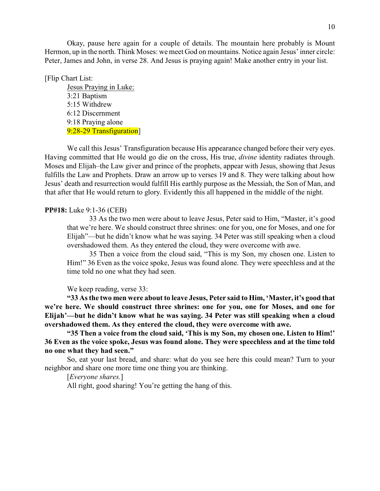Okay, pause here again for a couple of details. The mountain here probably is Mount Hermon, up in the north. Think Moses: we meet God on mountains. Notice again Jesus' inner circle: Peter, James and John, in verse 28. And Jesus is praying again! Make another entry in your list.

[Flip Chart List:

Jesus Praying in Luke: 3:21 Baptism 5:15 Withdrew 6:12 Discernment 9:18 Praying alone 9:28-29 Transfiguration

We call this Jesus' Transfiguration because His appearance changed before their very eyes. Having committed that He would go die on the cross, His true, *divine* identity radiates through. Moses and Elijah–the Law giver and prince of the prophets, appear with Jesus, showing that Jesus fulfills the Law and Prophets. Draw an arrow up to verses 19 and 8. They were talking about how Jesus' death and resurrection would fulfill His earthly purpose as the Messiah, the Son of Man, and that after that He would return to glory. Evidently this all happened in the middle of the night.

#### **PP#18:** Luke 9:1-36 (CEB)

33 As the two men were about to leave Jesus, Peter said to Him, "Master, it's good that we're here. We should construct three shrines: one for you, one for Moses, and one for Elijah"—but he didn't know what he was saying. 34 Peter was still speaking when a cloud overshadowed them. As they entered the cloud, they were overcome with awe.

35 Then a voice from the cloud said, "This is my Son, my chosen one. Listen to Him!" 36 Even as the voice spoke, Jesus was found alone. They were speechless and at the time told no one what they had seen.

We keep reading, verse 33:

**"33 As the two men were about to leave Jesus, Peter said to Him, 'Master, it's good that we're here. We should construct three shrines: one for you, one for Moses, and one for Elijah'—but he didn't know what he was saying. 34 Peter was still speaking when a cloud overshadowed them. As they entered the cloud, they were overcome with awe.**

**"35 Then a voice from the cloud said, 'This is my Son, my chosen one. Listen to Him!' 36 Even as the voice spoke, Jesus was found alone. They were speechless and at the time told no one what they had seen."**

So, eat your last bread, and share: what do you see here this could mean? Turn to your neighbor and share one more time one thing you are thinking.

[*Everyone shares*.]

All right, good sharing! You're getting the hang of this.